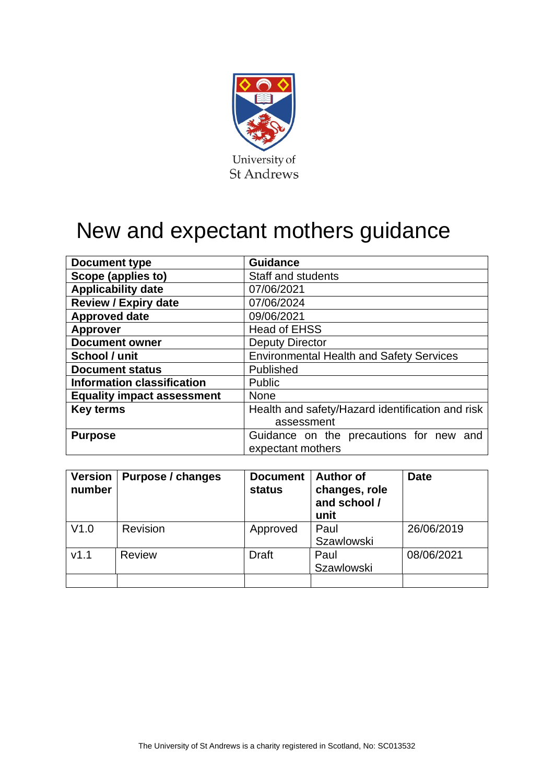

# New and expectant mothers guidance

| Document type                     | <b>Guidance</b>                                  |  |  |  |
|-----------------------------------|--------------------------------------------------|--|--|--|
| Scope (applies to)                | <b>Staff and students</b>                        |  |  |  |
| <b>Applicability date</b>         | 07/06/2021                                       |  |  |  |
| <b>Review / Expiry date</b>       | 07/06/2024                                       |  |  |  |
| <b>Approved date</b>              | 09/06/2021                                       |  |  |  |
| <b>Approver</b>                   | <b>Head of EHSS</b>                              |  |  |  |
| <b>Document owner</b>             | <b>Deputy Director</b>                           |  |  |  |
| School / unit                     | <b>Environmental Health and Safety Services</b>  |  |  |  |
| <b>Document status</b>            | Published                                        |  |  |  |
| <b>Information classification</b> | Public                                           |  |  |  |
| <b>Equality impact assessment</b> | <b>None</b>                                      |  |  |  |
| <b>Key terms</b>                  | Health and safety/Hazard identification and risk |  |  |  |
|                                   | assessment                                       |  |  |  |
| <b>Purpose</b>                    | Guidance on the precautions for new and          |  |  |  |
|                                   | expectant mothers                                |  |  |  |

| <b>Version</b><br>number | Purpose / changes | <b>Document</b><br>status | <b>Author of</b><br>changes, role<br>and school /<br>unit | <b>Date</b> |
|--------------------------|-------------------|---------------------------|-----------------------------------------------------------|-------------|
| V1.0                     | Revision          | Approved                  | Paul<br><b>Szawlowski</b>                                 | 26/06/2019  |
| V1.1                     | <b>Review</b>     | Draft                     | Paul<br><b>Szawlowski</b>                                 | 08/06/2021  |
|                          |                   |                           |                                                           |             |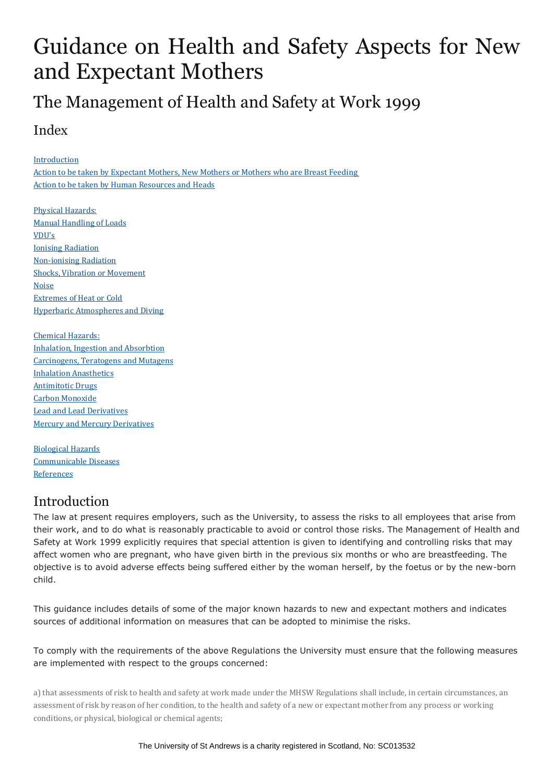## Guidance on Health and Safety Aspects for New and Expectant Mothers

## The Management of Health and Safety at Work 1999

## Index

[Introduction](http://www.st-andrews.ac.uk/staff/policy/healthandsafety/publications/neworexpectantmothers/#Introduction)

Action to be taken by [Expectant](http://www.st-andrews.ac.uk/staff/policy/healthandsafety/publications/neworexpectantmothers/#expectant) Mothers, New Mothers or Mothers who are Breast Feeding Action to be taken by Human [Resources](http://www.st-andrews.ac.uk/staff/policy/healthandsafety/publications/neworexpectantmothers/#Action to be taken by Personnel Services and Heads) and Heads

Physical [Hazards:](http://www.st-andrews.ac.uk/staff/policy/healthandsafety/publications/neworexpectantmothers/#Physical Hazards) Manual [Handling](http://www.st-andrews.ac.uk/staff/policy/healthandsafety/publications/neworexpectantmothers/#Manual Handling of Loads) of Loads [VDU's](http://www.st-andrews.ac.uk/staff/policy/healthandsafety/publications/neworexpectantmothers/#Work with Display Screen Equipment (VDUs)) Ionising [Radiation](http://www.st-andrews.ac.uk/staff/policy/healthandsafety/publications/neworexpectantmothers/#Ionising Radiation) [Non-ionising](http://www.st-andrews.ac.uk/staff/policy/healthandsafety/publications/neworexpectantmothers/#Non-ionising Radiation) Radiation Shocks, Vibration or [Movement](http://www.st-andrews.ac.uk/staff/policy/healthandsafety/publications/neworexpectantmothers/#Shocks, Vibrations or Movement) [Noise](http://www.st-andrews.ac.uk/staff/policy/healthandsafety/publications/neworexpectantmothers/#Noise) [Extremes](http://www.st-andrews.ac.uk/staff/policy/healthandsafety/publications/neworexpectantmothers/#Extremes of Heat or Cold) of Heat or Cold Hyperbaric [Atmospheres](http://www.st-andrews.ac.uk/staff/policy/healthandsafety/publications/neworexpectantmothers/#Work in Hyperbaric Atmospheres and Underwater Diving) and Diving

[Chemical](http://www.st-andrews.ac.uk/staff/policy/healthandsafety/publications/neworexpectantmothers/#Chemical Hazards) Hazards: Inhalation, Ingestion and [Absorbtion](http://www.st-andrews.ac.uk/staff/policy/healthandsafety/publications/neworexpectantmothers/#Inhalation, Ingestion and Absorbtion of Chemical Agents) [Carcinogens,](http://www.st-andrews.ac.uk/staff/policy/healthandsafety/publications/neworexpectantmothers/#Carcinogens, Teratogens and Mutagens) Teratogens and Mutagens Inhalation [Anasthetics](http://www.st-andrews.ac.uk/staff/policy/healthandsafety/publications/neworexpectantmothers/#Inhalation Anaesthetics) [Antimitotic](http://www.st-andrews.ac.uk/staff/policy/healthandsafety/publications/neworexpectantmothers/#Antimitotic (cytotoxic) Drugs) Drugs Carbon [Monoxide](http://www.st-andrews.ac.uk/staff/policy/healthandsafety/publications/neworexpectantmothers/#Carbon Monoxide) Lead and Lead [Derivatives](http://www.st-andrews.ac.uk/staff/policy/healthandsafety/publications/neworexpectantmothers/#Lead and Lead Derivatives) Mercury and Mercury [Derivatives](http://www.st-andrews.ac.uk/staff/policy/healthandsafety/publications/neworexpectantmothers/#Mercury and Mercury Derivatives)

[Biological](http://www.st-andrews.ac.uk/staff/policy/healthandsafety/publications/neworexpectantmothers/#biological) Hazards [Communicable](http://www.st-andrews.ac.uk/staff/policy/healthandsafety/publications/neworexpectantmothers/#diseases) Diseases **[References](http://www.st-andrews.ac.uk/staff/policy/healthandsafety/publications/neworexpectantmothers/#Useful References)** 

## Introduction

The law at present requires employers, such as the University, to assess the risks to all employees that arise from their work, and to do what is reasonably practicable to avoid or control those risks. The Management of Health and Safety at Work 1999 explicitly requires that special attention is given to identifying and controlling risks that may affect women who are pregnant, who have given birth in the previous six months or who are breastfeeding. The objective is to avoid adverse effects being suffered either by the woman herself, by the foetus or by the new-born child.

This guidance includes details of some of the major known hazards to new and expectant mothers and indicates sources of additional information on measures that can be adopted to minimise the risks.

To comply with the requirements of the above Regulations the University must ensure that the following measures are implemented with respect to the groups concerned:

a) that assessments of risk to health and safety at work made under the MHSW Regulations shall include, in certain circumstances, an assessment of risk by reason of her condition, to the health and safety of a new or expectant mother from any process or working conditions, or physical, biological or chemical agents;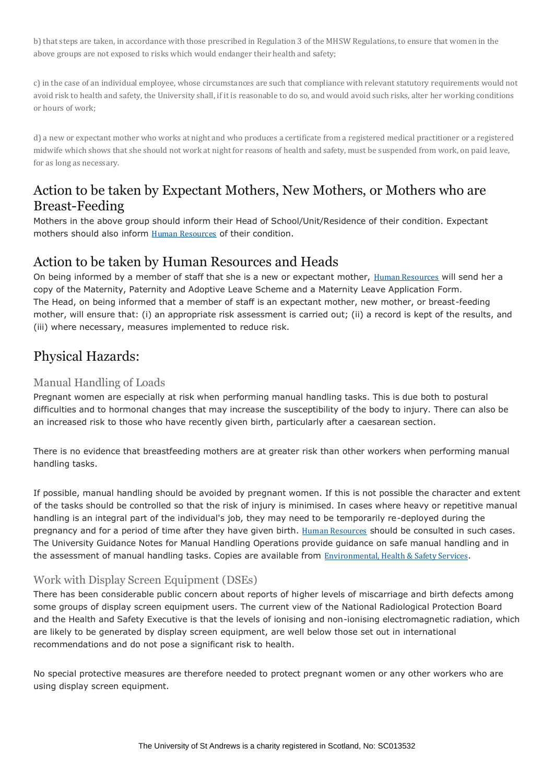b) that steps are taken, in accordance with those prescribed in Regulation 3 of the MHSW Regulations, to ensure that women in the above groups are not exposed to risks which would endanger their health and safety;

c) in the case of an individual employee, whose circumstances are such that compliance with relevant statutory requirements would not avoid risk to health and safety, the University shall, if it is reasonable to do so, and would avoid such risks, alter her working conditions or hours of work;

d) a new or expectant mother who works at night and who produces a certificate from a registered medical practitioner or a registered midwife which shows that she should not work at night for reasons of health and safety, must be suspended from work, on paid leave, for as long as necessary.

## Action to be taken by Expectant Mothers, New Mothers, or Mothers who are Breast-Feeding

Mothers in the above group should inform their Head of School/Unit/Residence of their condition. Expectant mothers should also inform **Human [Resources](http://www.st-andrews.ac.uk/hr/)** of their condition.

## Action to be taken by Human Resources and Heads

On being informed by a member of staff that she is a new or expectant mother, Human [Resources](http://www.st-andrews.ac.uk/hr/) will send her a copy of the Maternity, Paternity and Adoptive Leave Scheme and a Maternity Leave Application Form. The Head, on being informed that a member of staff is an expectant mother, new mother, or breast-feeding mother, will ensure that: (i) an appropriate risk assessment is carried out; (ii) a record is kept of the results, and (iii) where necessary, measures implemented to reduce risk.

## Physical Hazards:

#### Manual Handling of Loads

Pregnant women are especially at risk when performing manual handling tasks. This is due both to postural difficulties and to hormonal changes that may increase the susceptibility of the body to injury. There can also be an increased risk to those who have recently given birth, particularly after a caesarean section.

There is no evidence that breastfeeding mothers are at greater risk than other workers when performing manual handling tasks.

If possible, manual handling should be avoided by pregnant women. If this is not possible the character and extent of the tasks should be controlled so that the risk of injury is minimised. In cases where heavy or repetitive manual handling is an integral part of the individual's job, they may need to be temporarily re-deployed during the pregnancy and for a period of time after they have given birth. Human [Resources](http://www.st-andrews.ac.uk/hr/) should be consulted in such cases. The University Guidance Notes for Manual Handling Operations provide guidance on safe manual handling and in the assessment of manual handling tasks. Copies are available from [Environmental,](http://www.st-andrews.ac.uk/safety/) Health & Safety Services.

#### Work with Display Screen Equipment (DSEs)

There has been considerable public concern about reports of higher levels of miscarriage and birth defects among some groups of display screen equipment users. The current view of the National Radiological Protection Board and the Health and Safety Executive is that the levels of ionising and non-ionising electromagnetic radiation, which are likely to be generated by display screen equipment, are well below those set out in international recommendations and do not pose a significant risk to health.

No special protective measures are therefore needed to protect pregnant women or any other workers who are using display screen equipment.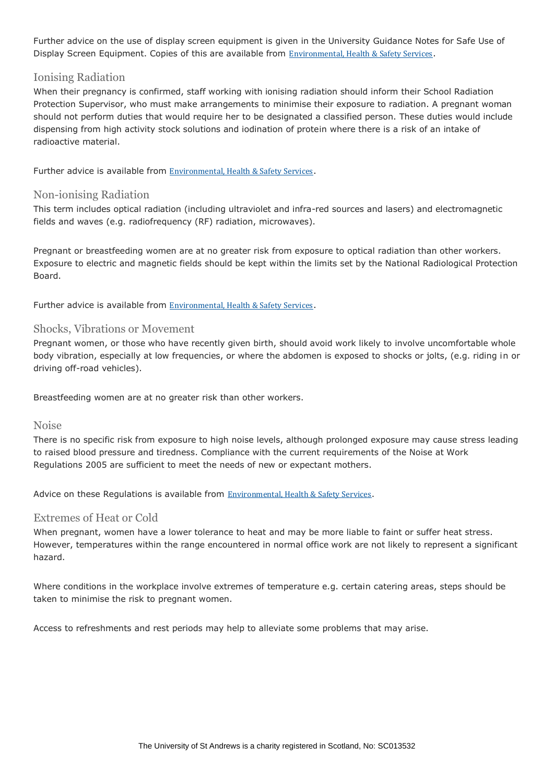Further advice on the use of display screen equipment is given in the University Guidance Notes for Safe Use of Display Screen Equipment. Copies of this are available from [Environmental,](http://www.st-andrews.ac.uk/safety/) Health & Safety Services.

#### Ionising Radiation

When their pregnancy is confirmed, staff working with ionising radiation should inform their School Radiation Protection Supervisor, who must make arrangements to minimise their exposure to radiation. A pregnant woman should not perform duties that would require her to be designated a classified person. These duties would include dispensing from high activity stock solutions and iodination of protein where there is a risk of an intake of radioactive material.

Further advice is available from [Environmental,](http://www.st-andrews.ac.uk/safety/) Health & Safety Services.

#### Non-ionising Radiation

This term includes optical radiation (including ultraviolet and infra-red sources and lasers) and electromagnetic fields and waves (e.g. radiofrequency (RF) radiation, microwaves).

Pregnant or breastfeeding women are at no greater risk from exposure to optical radiation than other workers. Exposure to electric and magnetic fields should be kept within the limits set by the National Radiological Protection Board.

Further advice is available from [Environmental,](http://www.st-andrews.ac.uk/safety/) Health & Safety Services.

#### Shocks, Vibrations or Movement

Pregnant women, or those who have recently given birth, should avoid work likely to involve uncomfortable whole body vibration, especially at low frequencies, or where the abdomen is exposed to shocks or jolts, (e.g. riding in or driving off-road vehicles).

Breastfeeding women are at no greater risk than other workers.

#### Noise

There is no specific risk from exposure to high noise levels, although prolonged exposure may cause stress leading to raised blood pressure and tiredness. Compliance with the current requirements of the Noise at Work Regulations 2005 are sufficient to meet the needs of new or expectant mothers.

Advice on these Regulations is available from [Environmental,](http://www.st-andrews.ac.uk/safety/) Health & Safety Services.

#### Extremes of Heat or Cold

When pregnant, women have a lower tolerance to heat and may be more liable to faint or suffer heat stress. However, temperatures within the range encountered in normal office work are not likely to represent a significant hazard.

Where conditions in the workplace involve extremes of temperature e.g. certain catering areas, steps should be taken to minimise the risk to pregnant women.

Access to refreshments and rest periods may help to alleviate some problems that may arise.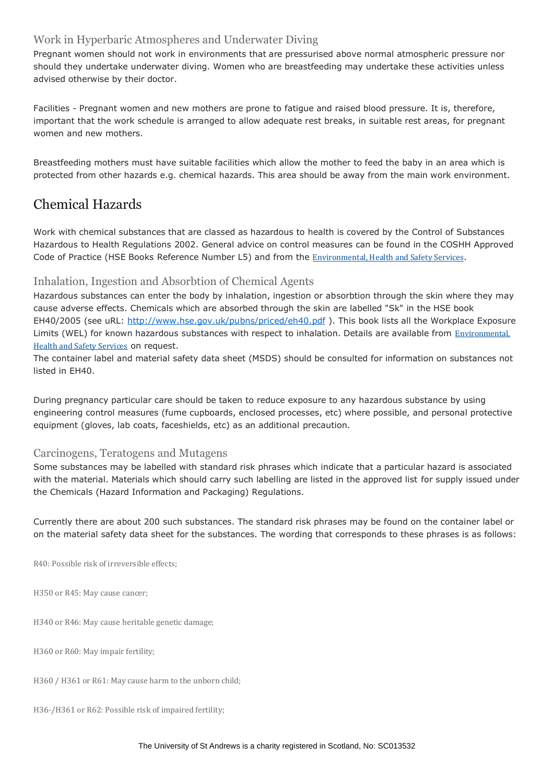#### Work in Hyperbaric Atmospheres and Underwater Diving

Pregnant women should not work in environments that are pressurised above normal atmospheric pressure nor should they undertake underwater diving. Women who are breastfeeding may undertake these activities unless advised otherwise by their doctor.

Facilities - Pregnant women and new mothers are prone to fatigue and raised blood pressure. It is, therefore, important that the work schedule is arranged to allow adequate rest breaks, in suitable rest areas, for pregnant women and new mothers.

Breastfeeding mothers must have suitable facilities which allow the mother to feed the baby in an area which is protected from other hazards e.g. chemical hazards. This area should be away from the main work environment.

## Chemical Hazards

Work with chemical substances that are classed as hazardous to health is covered by the Control of Substances Hazardous to Health Regulations 2002. General advice on control measures can be found in the COSHH Approved Code of Practice (HSE Books Reference Number L5) and from the [Environmental,](http://www.st-andrews.ac.uk/safety/) Health and Safety Services.

#### Inhalation, Ingestion and Absorbtion of Chemical Agents

Hazardous substances can enter the body by inhalation, ingestion or absorbtion through the skin where they may cause adverse effects. Chemicals which are absorbed through the skin are labelled "Sk" in the HSE book EH40/2005 (see uRL:<http://www.hse.gov.uk/pubns/priced/eh40.pdf> ). This book lists all the Workplace Exposure Limits (WEL) for known hazardous substances with respect to inhalation. Details are available from [Environmental,](http://www.st-andrews.ac.uk/safety/) Health and Safety [Services](http://www.st-andrews.ac.uk/safety/) on request.

The container label and material safety data sheet (MSDS) should be consulted for information on substances not listed in EH40.

During pregnancy particular care should be taken to reduce exposure to any hazardous substance by using engineering control measures (fume cupboards, enclosed processes, etc) where possible, and personal protective equipment (gloves, lab coats, faceshields, etc) as an additional precaution.

#### Carcinogens, Teratogens and Mutagens

Some substances may be labelled with standard risk phrases which indicate that a particular hazard is associated with the material. Materials which should carry such labelling are listed in the approved list for supply issued under the Chemicals (Hazard Information and Packaging) Regulations.

Currently there are about 200 such substances. The standard risk phrases may be found on the container label or on the material safety data sheet for the substances. The wording that corresponds to these phrases is as follows:

R40: Possible risk of irreversible effects;

H350 or R45: May cause cancer;

H340 or R46: May cause heritable genetic damage;

H360 or R60: May impair fertility;

H360 / H361 or R61: May cause harm to the unborn child;

H36-/H361 or R62: Possible risk of impaired fertility;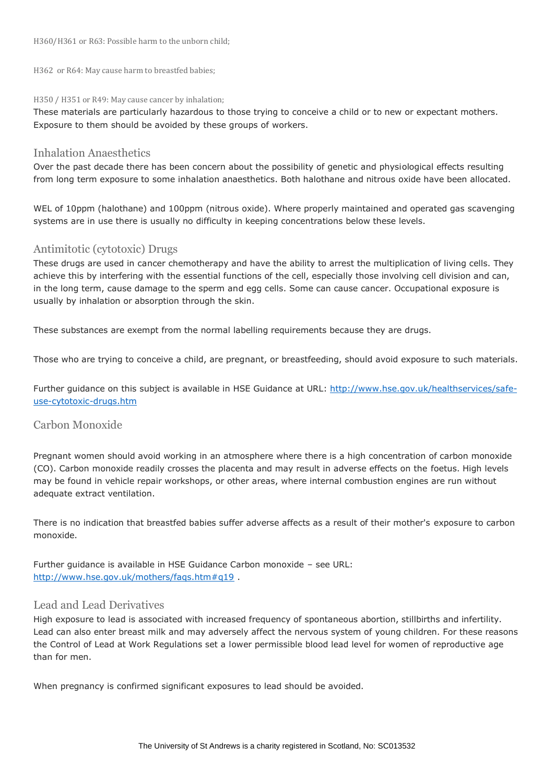H360/H361 or R63: Possible harm to the unborn child;

H362 or R64: May cause harm to breastfed babies;

#### H350 / H351 or R49: May cause cancer by inhalation;

These materials are particularly hazardous to those trying to conceive a child or to new or expectant mothers. Exposure to them should be avoided by these groups of workers.

#### Inhalation Anaesthetics

Over the past decade there has been concern about the possibility of genetic and physiological effects resulting from long term exposure to some inhalation anaesthetics. Both halothane and nitrous oxide have been allocated.

WEL of 10ppm (halothane) and 100ppm (nitrous oxide). Where properly maintained and operated gas scavenging systems are in use there is usually no difficulty in keeping concentrations below these levels.

#### Antimitotic (cytotoxic) Drugs

These drugs are used in cancer chemotherapy and have the ability to arrest the multiplication of living cells. They achieve this by interfering with the essential functions of the cell, especially those involving cell division and can, in the long term, cause damage to the sperm and egg cells. Some can cause cancer. Occupational exposure is usually by inhalation or absorption through the skin.

These substances are exempt from the normal labelling requirements because they are drugs.

Those who are trying to conceive a child, are pregnant, or breastfeeding, should avoid exposure to such materials.

Further guidance on this subject is available in HSE Guidance at URL: [http://www.hse.gov.uk/healthservices/safe](http://www.hse.gov.uk/healthservices/safe-use-cytotoxic-drugs.htm)[use-cytotoxic-drugs.htm](http://www.hse.gov.uk/healthservices/safe-use-cytotoxic-drugs.htm)

#### Carbon Monoxide

Pregnant women should avoid working in an atmosphere where there is a high concentration of carbon monoxide (CO). Carbon monoxide readily crosses the placenta and may result in adverse effects on the foetus. High levels may be found in vehicle repair workshops, or other areas, where internal combustion engines are run without adequate extract ventilation.

There is no indication that breastfed babies suffer adverse affects as a result of their mother's exposure to carbon monoxide.

Further guidance is available in HSE Guidance Carbon monoxide – see URL: <http://www.hse.gov.uk/mothers/faqs.htm#q19>.

#### Lead and Lead Derivatives

High exposure to lead is associated with increased frequency of spontaneous abortion, stillbirths and infertility. Lead can also enter breast milk and may adversely affect the nervous system of young children. For these reasons the Control of Lead at Work Regulations set a lower permissible blood lead level for women of reproductive age than for men.

When pregnancy is confirmed significant exposures to lead should be avoided.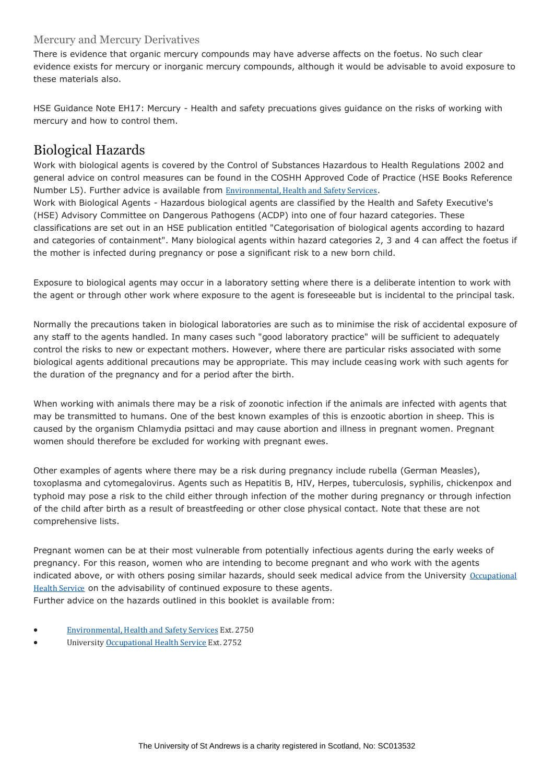#### Mercury and Mercury Derivatives

There is evidence that organic mercury compounds may have adverse affects on the foetus. No such clear evidence exists for mercury or inorganic mercury compounds, although it would be advisable to avoid exposure to these materials also.

HSE Guidance Note EH17: Mercury - Health and safety precuations gives guidance on the risks of working with mercury and how to control them.

### Biological Hazards

Work with biological agents is covered by the Control of Substances Hazardous to Health Regulations 2002 and general advice on control measures can be found in the COSHH Approved Code of Practice (HSE Books Reference Number L5). Further advice is available from [Environmental,](http://www.st-andrews.ac.uk/safety/) Health and Safety Services.

Work with Biological Agents - Hazardous biological agents are classified by the Health and Safety Executive's (HSE) Advisory Committee on Dangerous Pathogens (ACDP) into one of four hazard categories. These classifications are set out in an HSE publication entitled "Categorisation of biological agents according to hazard and categories of containment". Many biological agents within hazard categories 2, 3 and 4 can affect the foetus if the mother is infected during pregnancy or pose a significant risk to a new born child.

Exposure to biological agents may occur in a laboratory setting where there is a deliberate intention to work with the agent or through other work where exposure to the agent is foreseeable but is incidental to the principal task.

Normally the precautions taken in biological laboratories are such as to minimise the risk of accidental exposure of any staff to the agents handled. In many cases such "good laboratory practice" will be sufficient to adequately control the risks to new or expectant mothers. However, where there are particular risks associated with some biological agents additional precautions may be appropriate. This may include ceasing work with such agents for the duration of the pregnancy and for a period after the birth.

When working with animals there may be a risk of zoonotic infection if the animals are infected with agents that may be transmitted to humans. One of the best known examples of this is enzootic abortion in sheep. This is caused by the organism Chlamydia psittaci and may cause abortion and illness in pregnant women. Pregnant women should therefore be excluded for working with pregnant ewes.

Other examples of agents where there may be a risk during pregnancy include rubella (German Measles), toxoplasma and cytomegalovirus. Agents such as Hepatitis B, HIV, Herpes, tuberculosis, syphilis, chickenpox and typhoid may pose a risk to the child either through infection of the mother during pregnancy or through infection of the child after birth as a result of breastfeeding or other close physical contact. Note that these are not comprehensive lists.

Pregnant women can be at their most vulnerable from potentially infectious agents during the early weeks of pregnancy. For this reason, women who are intending to become pregnant and who work with the agents indicated above, or with others posing similar hazards, should seek medical advice from the University [Occupational](http://www.st-andrews.ac.uk/staff/policy/Healthandsafety/Occupationalhealth/) Health [Service](http://www.st-andrews.ac.uk/staff/policy/Healthandsafety/Occupationalhealth/) on the advisability of continued exposure to these agents. Further advice on the hazards outlined in this booklet is available from:

- [Environmental,](http://www.st-andrews.ac.uk/safety/) Health and Safety Services Ext. 2750
- University [Occupational](http://www.st-andrews.ac.uk/staff/policy/Healthandsafety/Occupationalhealth/) Health Service Ext. 2752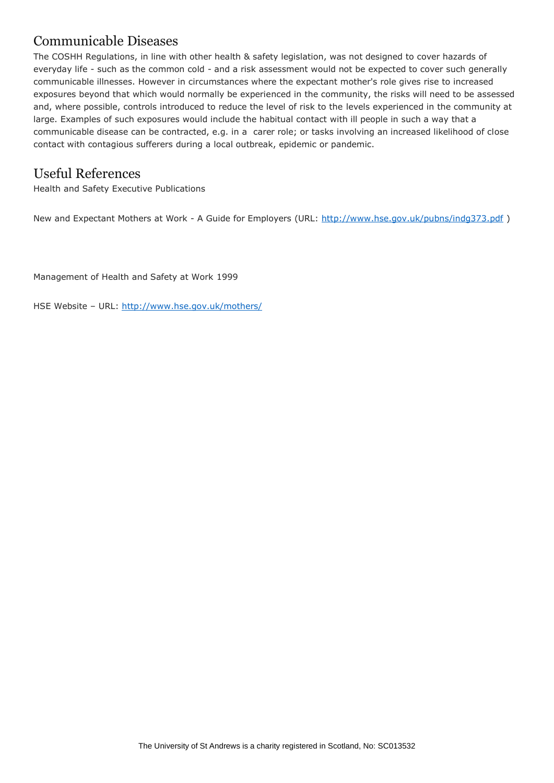## Communicable Diseases

The COSHH Regulations, in line with other health & safety legislation, was not designed to cover hazards of everyday life - such as the common cold - and a risk assessment would not be expected to cover such generally communicable illnesses. However in circumstances where the expectant mother's role gives rise to increased exposures beyond that which would normally be experienced in the community, the risks will need to be assessed and, where possible, controls introduced to reduce the level of risk to the levels experienced in the community at large. Examples of such exposures would include the habitual contact with ill people in such a way that a communicable disease can be contracted, e.g. in a carer role; or tasks involving an increased likelihood of close contact with contagious sufferers during a local outbreak, epidemic or pandemic.

### Useful References

Health and Safety Executive Publications

New and Expectant Mothers at Work - A Guide for Employers (URL:<http://www.hse.gov.uk/pubns/indg373.pdf>)

Management of Health and Safety at Work 1999

HSE Website - URL:<http://www.hse.gov.uk/mothers/>